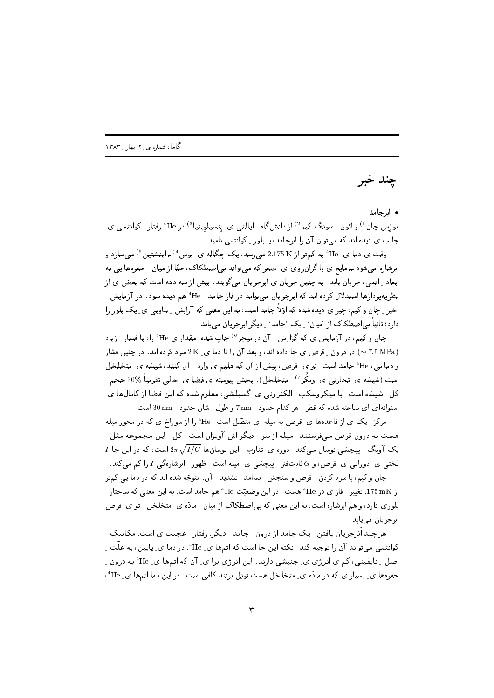چند خبر

## • ابرجامد

موزس چان <sup>1)</sup> و ائون ـ سونگ کیم<sup>2)</sup> از دانشگاه <sub>-</sub> ایالتبی ی ِ پنسیلوینیا<sup>3)</sup> در <sup>4</sup>He رفتار <sub>-</sub> کوانتمبی ی ِ جالب ی دیده اند که می توان آن را ابرجامد، یا بلور کوانتمی نامید.

وقت ی دما ی ِ He به کمتر از 2.175 K می رسد، یک چگاله ی ِ بوس<sup>4)</sup> ـ اینشتین <sup>5)</sup> می سازد و ابرشاره میشود ــ مایع ی با گران روی ی ِ صفر که میتواند بی|صطکاک، حتّا از میان ِ حفرهها یی به ابعاد <sub>-</sub> اتمی، جریان پابد. به چنین جریان ی ابرجریان میگویند. بیش از سه دهه است که بعض ی از نظریهپردازها استدلال کرده اند که ابرجریان میتواند در فاز جامد <sub>-</sub> 4He هم دیده شود. در آزمایش <sub>-</sub> اخیر ِ چان و کیم، چیز ی دیده شده که اوّلاً جامد است، به این معنی که آرایش ِ تناوبی ی ِ یک بلور را دارد؛ ثانیاً ہے اصطکاک از 'میان' \_ پک 'جامد' \_ دیگر ابرجریان مے یابد.

چان و کیم، در آزمایش ی که گزارش <sub>-</sub> آن درنیچر<sup>6)</sup> چاپ شده، مقدار ی <sup>4</sup>He را، با فشار <sub>-</sub> زیاد (7.5 MPa ) در درون \_ قرص ي جا داده اند، و بعد آن را تا دما ي\_ 2 K سرد كرده اند. در چنين فشار و دما یی، He جامد است. تو ی ِ قرص، پیش از آن که هلیم ی وارد \_ آن کنند، شیشه ی ِ متخلخل است (شیشه ی ِ تجارتبی ی ِ ویکُر <sup>7)</sup> ِ متخلخل). بخش پیوسته ی فضا ی ِ خالبی تقریباً %30 حجم ِ کل \_ شیشه است. با میکروسکپ \_ الکترونی ی\_ گسیلشی، معلوم شده که این فضا از کانالها ی\_ استوانهای ای ساخته شده که قطر ِ هر کدام حدود ِ nm 7 و طول ِ شان حدود ِ nm 30 است.

مرکز ِ یک ی از قاعدهها ی ِ قرص به میله ای متصّل است. He را از سوراخ ی که در محور میله هست به درون قرص میفرستند. میله از سر ِ دیگر اش آویزان است. کل ِ این مجموعه مثل ِ  $I$  یک آونگ ِ پیچشی نوسان میکند. دوره ی ِ تناوب ِ این نوسانها  $2\pi\sqrt{I/G}$  است، که در این جا لختی ی ِ دورانی ی ِ قرص، و  $G$  ثابتِفنر ِ پیچشی ی ِ میله است. ظهور ِ ابرشارهگی I را کم میکند.

چان و کیم، با سرد کردن \_ قرص و سنجش \_ بسامد \_ تشدید \_ آن، متوجّه شده اند که در دما یبی کمتر از 175 mK، تغییر <sub>-</sub> فاز ی در <sup>4</sup>He هست: در این وضعیّت <sup>4</sup>He هم جامد است، به این معنی که ساختار <sub>-</sub> بلوری دارد، و هم ابرشاره است، به این معنی که بی|صطکاک از میان ِ مادّه ی ِ متخلخل ِ تو ی ِ قرص ابرجريان مي يابد!

ھر چند اَبَرجریان یافتن ِ یک جامد از درون ِ جامد ِ دیگر، رفتار ِ عجیب ی است، مکانیک ِ کوانتمی میتواند آن را توجیه کند. نکته این جا است که اتمها ی ِ He ٔ، در دما ی ِ پایین، به علّت ِ اصل ِ نایقینی، کم ی انرژی ی ِ جنبشی دارند. این انرژی برا ی ِ آن که اتمها ی ِ He <sup>4</sup> به درون ِ حفرهها ی ِ بسیار ی که در مادّه ی ِ متخلخل هست تویل بزنند کافی است. در این دما اتمها ی ِ He 4،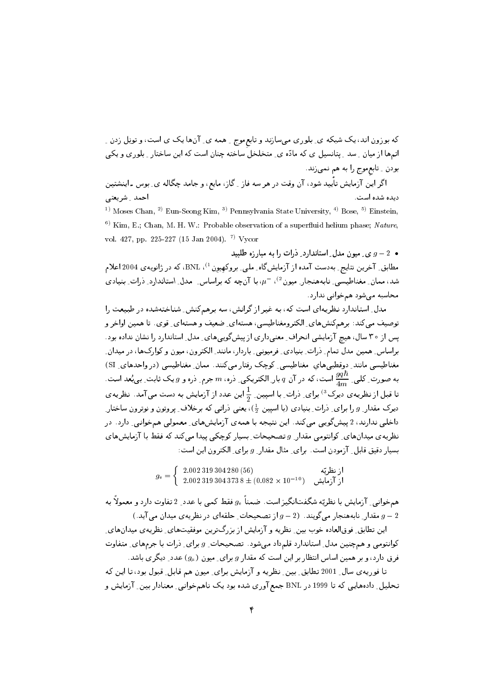که بوزون اند، یک شبکه ی ِ بلوری میسازند و تابع موج ِ همه ی ِ آنها یک ی است، و تویل زدن ِ اتـمها از میان ِ سد ِ پتانسیل ی که مادّه ی ِ متخلخل ساخته چنان است که این ساختار ِ بلوری و یکی بودن ِ تابعِموج را به هم نميزند.

اگر این آزمایش تأیید شود، آن وقت در هر سه فاز <sub>-</sub> گاز، مایع، و جامد چگاله ی ِ بوس ـ اینشتین ديده شده است. احمد \_ شريعتى

<sup>1)</sup> Moses Chan, <sup>2)</sup> Eun-Seong Kim, <sup>3)</sup> Pennsylvania State University, <sup>4)</sup> Bose, <sup>5)</sup> Einstein, <sup>6)</sup> Kim, E.; Chan, M. H. W.: Probable observation of a superfluid helium phase; Nature, vol. 427, pp. 225-227 (15 Jan 2004). <sup>7)</sup> Vycor

 $g-2$  و ی میون مدل استاندارد ِ ذرات را به مبار زه طلبید مطابق ِ آخرین نتایج ِ بهدست آمده از آزمایشگاه ِ ملی ِ بروکهیون <sup>1)</sup>، BNL، که در ژانویهی 2004 اعلام شد، ممان ِ مغناطیسی ِ نابههنجار ِ میون<sup>2)</sup>، <sup>–</sup>µ، با آنچه که براساس ِ ِ مدل ِ استاندارد ِ ذرات ِ بنیادی محاسبه می شود همخوانی ندارد.

مدل ِ استاندارد نظریهای است که، به غیر از گرانش، سه برهمکنش ِ شناختهشده در طبیعت را توصيف مي¢ند: برهمكنشهاي ِ الكترومغناطيسي، هستهاي ِ ضعيف و هستهاي ِ قوى. تا همين اواخر و پس از ۳۰ سال، هیچ آزمایشی انحراف ِ معنیداری از پیشگوییهای ِ مدل ِ استاندارد را نشان نداده بود . براساس ِ همین مدل تمام ِ ذرات ِ بنیادی ِ فرمیونی ِ باردار، مانند ِ الکترون، میون و کوارکها، در میدان ِ مغناطیسی مانند ِ دوقطبی های ِ مغناطیسی ِ کوچک رفتار می کنند. ممان ِ مغناطیسی (در واحدهای ِ SI) به صورت ِ کلبی ِ  $\frac{qqh}{dm}$  است، که در آن  $q$  بار ِ الکتریکی ِ دره،  $m$  جرم ِ دره و  $g$  یک ثابت ِ بی بُعد است ِ تا قبل از نظریهی دیرک<sup>3</sup>) برای ِ ذرات ِ با اسپین ِ  $\frac{1}{2}$ این عدد از آزمایش به دست می آمد. نظریهی دیرک مقدار ِ q را برای ِ ذرات ِ بنیادی (با اسپین  $(\frac{1}{2})$ ، یعنی ذراتی که برخلاف ِ پروتون و نوترون ساختار ِ داخلی ندارند، 2 بیشگویی میکند. این نتیجه با همهی آزمایشهای ِ معمولی همخوانی ِ دارد. در نظریهی میدانهای ِ کوانتومی مقدار ِ g تصحیحات ِ بسیار کوچکی پیدا می کند که فقط با آزمایشهای بسیار دقیق قابل ِ آزمودن است. برای ِ مثال مقدار ِ g برای ِ الکترون این است:

 $g_e = \left\{ \begin{array}{ll} \text{2.002 319 304 280 (56)} \ \text{2.002 319 304 373 8} \pm (0.082 \times 10^{-10}) \ \text{Li}^{\text{th}} & \text{Li} \end{array} \right.$ 

همخوانبی ِ آزمایش با نظریّه شگفتانگیز است. ضمناً  $g_{\rm e}$  فقط کمی با عدد ِ 2 تفاوت دارد و معمولاً به مقدار ِ نابههنجار میگویند.  $g-2$  از تصحیحات ِ حلقهای در نظریهی میدان می آید.)  $g-2$ 

این تطابق ِ فوق|لعاده خوب بین ِ نظریه و آزمایش از بزرگ ترین موفقیتهای ِ نظریه ی میدانهای ِ کوانتومی و همچنین مدل ِ استاندارد قلمداد می شود. تصحیحات ِ g برای ِ ذرات با جرمهای ِ متفاوت فرق دارد، و بر همین اساس انتظار بر این است که مقدار g برای ِ میون ( $g_{\mu}$ ) عدد ِ دیگر ی باشد.

تا فوریه ی سال ِ 2001 تطابق ِ بین ِ نظریه و آزمایش برای ِ میون هم قابل ِ قبول بود، تا این که تحلیل ِ دادههایی که تا 1999 در BNL جمع آوری شده بود یک ناهمخوانبی ِ معنادار بین ِ آزمایش و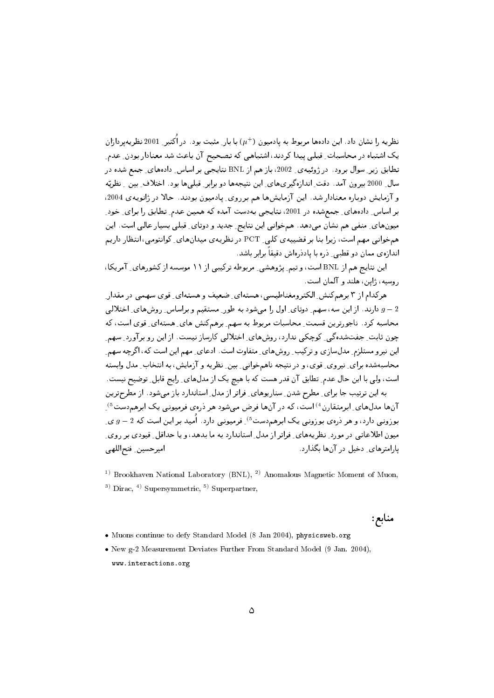نظریه را نشان داد. این دادهها مربوط به یادمیون (+r) با بار ِ مثبت بود. در اُکتبر ِ 2001 نظریهپردازان یک اشتباه در محاسبات ِ قبلی پیدا کردند، اشتباهی که تصحیح آن باعث شد معنادار بودن ِ عدم ِ .<br>تطابق زیر ِ سوال برود. در ژوئیهی ِ 2002، باز هم از BNL نتایجی بر اساس ِ دادههای ِ جمع شده در سال ِ 2000 بیرون آمد. دقت ِ اندازهگیریهای ِ این نتیجهها دو برابر ِ قبلی ِها بود. اختلاف ِ بین ِ نظریّه و آزمایش دوباره معنادار شد. این آزمایش ها هم بر روی بادمیون بودند. حالا در ژانویه ی 2004، بر اساس ِ دادههای ِ جمعشده در 2001، نتایجی بهدست آمده که همین عدم ِ تطابق را برای ِ خود ِ میونهای ِ منفی هم نشان میدهد. همخوانی این نتایج ِ جدید و دوتای ِ قبلی بسیار عالی است. این همخوانی مهم است، زیرا بنا بر قضییه ی کلی ـ PCT در نظریه ی میدانهای ِ کوانتومی، انتظار داریم اندازهی ممان دو قطبی ِ دره با یاددرهاش دقیقاً برابر باشد.

این نتایج هم از BNL است، و تیم ِ پژوهشی ِ مربوطه ترکیبی از ۱۱ موسسه از کشورهای ِ آمریکا، روسيه، ژاپن، هلند و آلمان است.

هرکدام از ۳ برهمکنش ِ الکترومغناطیسی، هستهای ِ ضعیف و هستهای ِ قوی سهمی در مقدار ِ دارند. از این سه، سهم ِ دوتای ِ اول را میشود به طور ِ مستقیم و براساس ِ روشهای ِ اختلالی  $g-2$ محاسبه کرد. ناجورترین قسمت ِ محاسبات مربوط به سهم ِ برهمکنش های ِ هستهای ِ قوی است، که چون ثابت ِ جفتشدهگی ِ کوچکی ندارد، روشهای ِ اختلالی کارساز نیست. از این رو برآورد ِ سهم ِ این نیرو مستلزم ِ مدلسازی و ترکیب ِ روشهای ِ متفاوت است. ادعای ِ مهم این است که، اگرچه سهم ِ محاسبهشده براي ِ نيروي ِ قوى، و در نتيجه ناهمخواني ِ بين ِ نظريه و آزمايش، به انتخاب ِ مدل وابسته است، ولي با اين حال عدم ِ تطابق آن قدر هست كه با هيچ يک از مدلهاي ِ رايج قابل ِ توضيح نيست. به این ترتیب جا برای ِ مطرح شدن ِ سنارپوهای ِ فراتر از مدل ِ استاندارد باز میشود. از مطرحترین

آنها مدلهای ِ ابرمتقارن<sup>4)</sup> است، که در آنها فرض می شود هر درهی فرمیونی یک ابرهم دست<sup>5</sup> ِ بوزونی دارد، و هر درهی بوزونی یک ابرهم<ست<sup>5)</sup> ِ فرمیونی دارد. اُمید بر این است که 2 – g ی میون اطلاعاتبی در مورد ِ نظریههای ِ فراتر از مدل ِ استاندارد به ما بدهد، و یا حداقل ِ قیودی بر روی ِ با,امترهای دخیل در آنها بگذارد. اميرحسين فتح اللهى

<sup>1)</sup> Brookhaven National Laboratory (BNL), <sup>2)</sup> Anomalous Magnetic Moment of Muon, <sup>3)</sup> Dirac, <sup>4)</sup> Supersymmetric, <sup>5)</sup> Superpartner,

منابع:

- . Muons continue to defy Standard Model (8 Jan 2004), physicsweb.org
- New g-2 Measurement Deviates Further From Standard Model (9 Jan. 2004), www.interactions.org